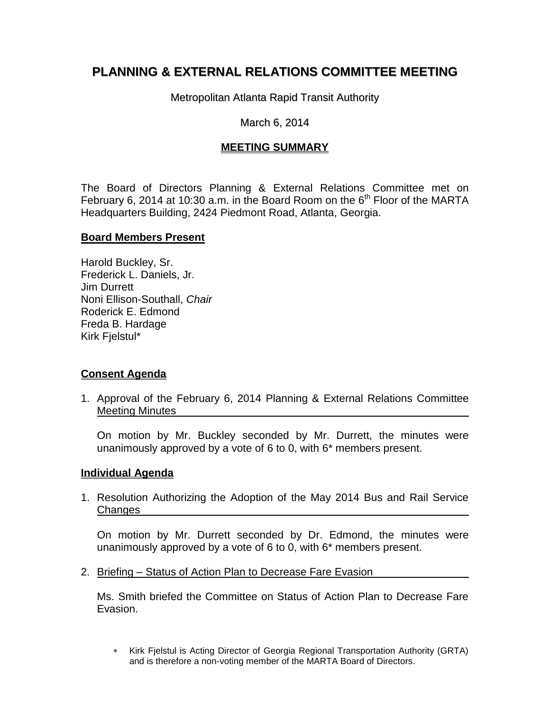# **PLANNING & EXTERNAL RELATIONS COMMITTEE MEETING**

Metropolitan Atlanta Rapid Transit Authority

## March 6, 2014

# **MEETING SUMMARY**

The Board of Directors Planning & External Relations Committee met on February 6, 2014 at 10:30 a.m. in the Board Room on the  $6<sup>th</sup>$  Floor of the MARTA Headquarters Building, 2424 Piedmont Road, Atlanta, Georgia.

#### **Board Members Present**

Harold Buckley, Sr. Frederick L. Daniels, Jr. Jim Durrett Noni Ellison-Southall, *Chair*  Roderick E. Edmond Freda B. Hardage Kirk Fjelstul\*

## **Consent Agenda**

1. Approval of the February 6, 2014 Planning & External Relations Committee Meeting Minutes

On motion by Mr. Buckley seconded by Mr. Durrett, the minutes were unanimously approved by a vote of 6 to 0, with 6\* members present.

#### **Individual Agenda**

1. Resolution Authorizing the Adoption of the May 2014 Bus and Rail Service **Changes** 

On motion by Mr. Durrett seconded by Dr. Edmond, the minutes were unanimously approved by a vote of 6 to 0, with 6\* members present.

2. Briefing – Status of Action Plan to Decrease Fare Evasion

Ms. Smith briefed the Committee on Status of Action Plan to Decrease Fare Evasion.

 Kirk Fjelstul is Acting Director of Georgia Regional Transportation Authority (GRTA) and is therefore a non-voting member of the MARTA Board of Directors.